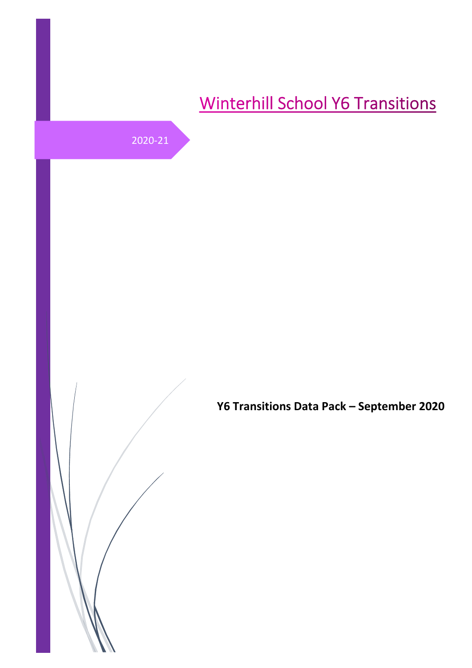# **Winterhill School Y6 Transitions**

2020-21

**Y6 Transitions Data Pack – September 2020**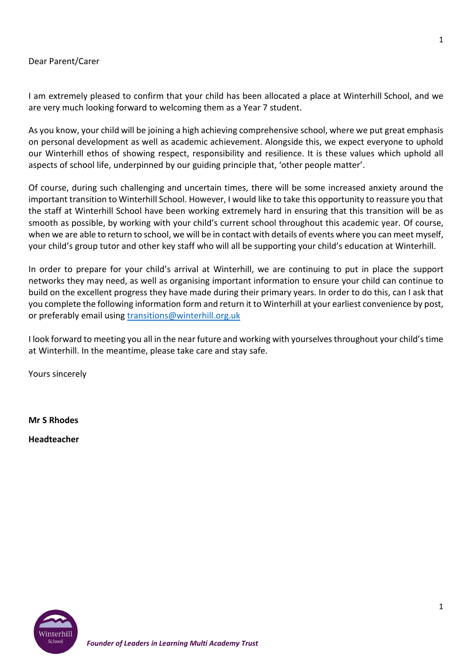#### Dear Parent/Carer

I am extremely pleased to confirm that your child has been allocated a place at Winterhill School, and we are very much looking forward to welcoming them as a Year 7 student.

As you know, your child will be joining a high achieving comprehensive school, where we put great emphasis on personal development as well as academic achievement. Alongside this, we expect everyone to uphold our Winterhill ethos of showing respect, responsibility and resilience. It is these values which uphold all aspects of school life, underpinned by our guiding principle that, 'other people matter'.

Of course, during such challenging and uncertain times, there will be some increased anxiety around the important transition to Winterhill School. However, I would like to take this opportunity to reassure you that the staff at Winterhill School have been working extremely hard in ensuring that this transition will be as smooth as possible, by working with your child's current school throughout this academic year. Of course, when we are able to return to school, we will be in contact with details of events where you can meet myself, your child's group tutor and other key staff who will all be supporting your child's education at Winterhill.

In order to prepare for your child's arrival at Winterhill, we are continuing to put in place the support networks they may need, as well as organising important information to ensure your child can continue to build on the excellent progress they have made during their primary years. In order to do this, can I ask that you complete the following information form and return it to Winterhill at your earliest convenience by post, or preferably email using [transitions@winterhill.org.uk](mailto:transitions@winterhill.org.uk)

I look forward to meeting you all in the near future and working with yourselves throughout your child's time at Winterhill. In the meantime, please take care and stay safe.

Yours sincerely

**Mr S Rhodes**

**Headteacher**

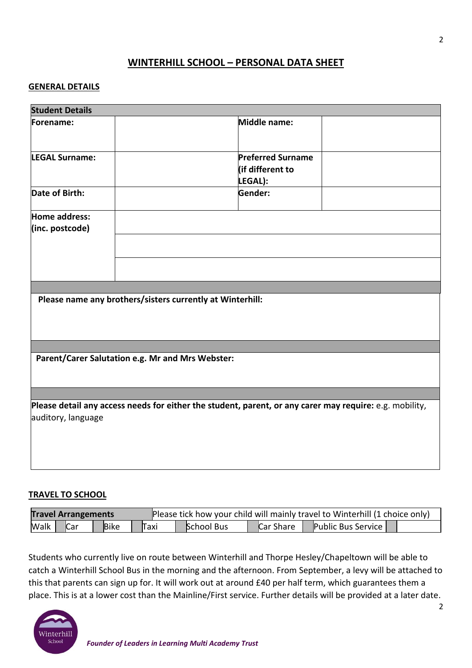# **WINTERHILL SCHOOL – PERSONAL DATA SHEET**

#### **GENERAL DETAILS**

| <b>Student Details</b>           |                                                                                                         |
|----------------------------------|---------------------------------------------------------------------------------------------------------|
| Forename:                        | Middle name:                                                                                            |
| <b>LEGAL Surname:</b>            | <b>Preferred Surname</b><br>lif different to<br>LEGAL):                                                 |
| Date of Birth:                   | Gender:                                                                                                 |
| Home address:<br>(inc. postcode) |                                                                                                         |
|                                  | Please name any brothers/sisters currently at Winterhill:                                               |
|                                  | Parent/Carer Salutation e.g. Mr and Mrs Webster:                                                        |
|                                  |                                                                                                         |
| auditory, language               | Please detail any access needs for either the student, parent, or any carer may require: e.g. mobility, |

#### **TRAVEL TO SCHOOL**

| <b>Travel Arrangements</b> |            |             | Please tick how your child will mainly travel to Winterhill (1 choice only) |                   |           |                           |  |
|----------------------------|------------|-------------|-----------------------------------------------------------------------------|-------------------|-----------|---------------------------|--|
| Walk                       | <b>Car</b> | <b>Bike</b> | Taxi                                                                        | <b>School Bus</b> | Car Share | <b>Public Bus Service</b> |  |

Students who currently live on route between Winterhill and Thorpe Hesley/Chapeltown will be able to catch a Winterhill School Bus in the morning and the afternoon. From September, a levy will be attached to this that parents can sign up for. It will work out at around £40 per half term, which guarantees them a place. This is at a lower cost than the Mainline/First service. Further details will be provided at a later date.

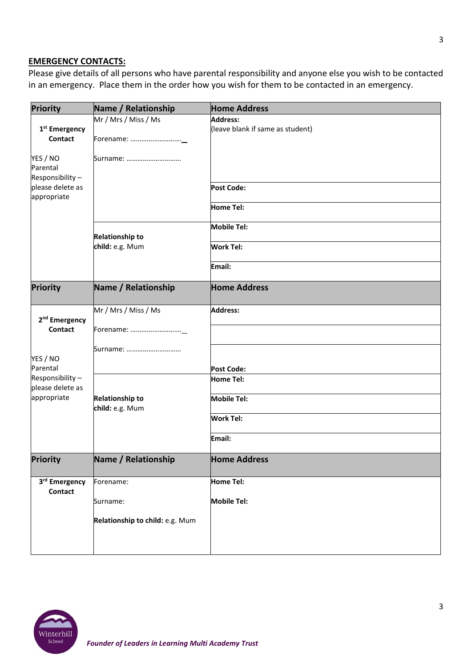# **EMERGENCY CONTACTS:**

Please give details of all persons who have parental responsibility and anyone else you wish to be contacted in an emergency. Place them in the order how you wish for them to be contacted in an emergency.

| Name / Relationship             | <b>Home Address</b>                                 |
|---------------------------------|-----------------------------------------------------|
| Mr / Mrs / Miss / Ms            | <b>Address:</b><br>(leave blank if same as student) |
| Forename:                       |                                                     |
| Surname:                        |                                                     |
|                                 |                                                     |
|                                 | <b>Post Code:</b>                                   |
|                                 | <b>Home Tel:</b>                                    |
|                                 | <b>Mobile Tel:</b>                                  |
| child: e.g. Mum                 | <b>Work Tel:</b>                                    |
|                                 | Email:                                              |
| Name / Relationship             | <b>Home Address</b>                                 |
| Mr / Mrs / Miss / Ms            | <b>Address:</b>                                     |
| Forename:                       |                                                     |
| Surname:                        |                                                     |
|                                 | <b>Post Code:</b>                                   |
|                                 | <b>Home Tel:</b>                                    |
| <b>Relationship to</b>          | <b>Mobile Tel:</b>                                  |
|                                 | <b>Work Tel:</b>                                    |
|                                 | Email:                                              |
| Name / Relationship             | <b>Home Address</b>                                 |
| Forename:                       | <b>Home Tel:</b>                                    |
| Surname:                        | <b>Mobile Tel:</b>                                  |
| Relationship to child: e.g. Mum |                                                     |
|                                 |                                                     |
|                                 | <b>Relationship to</b><br>child: e.g. Mum           |

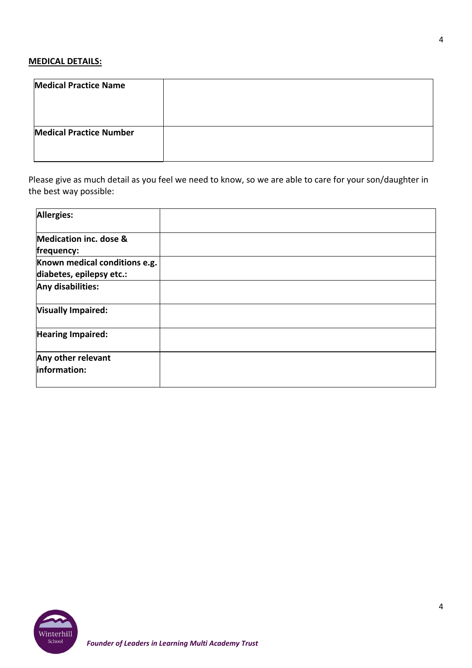# **MEDICAL DETAILS:**

| <b>Medical Practice Name</b>   |  |
|--------------------------------|--|
|                                |  |
| <b>Medical Practice Number</b> |  |
|                                |  |

Please give as much detail as you feel we need to know, so we are able to care for your son/daughter in the best way possible:

| <b>Allergies:</b>                                         |  |
|-----------------------------------------------------------|--|
| <b>Medication inc. dose &amp;</b><br>frequency:           |  |
| Known medical conditions e.g.<br>diabetes, epilepsy etc.: |  |
| Any disabilities:                                         |  |
| <b>Visually Impaired:</b>                                 |  |
| <b>Hearing Impaired:</b>                                  |  |
| Any other relevant<br>information:                        |  |

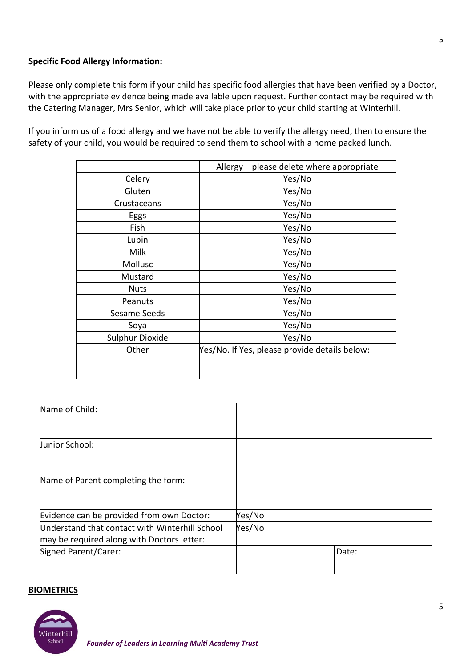#### **Specific Food Allergy Information:**

Please only complete this form if your child has specific food allergies that have been verified by a Doctor, with the appropriate evidence being made available upon request. Further contact may be required with the Catering Manager, Mrs Senior, which will take place prior to your child starting at Winterhill.

If you inform us of a food allergy and we have not be able to verify the allergy need, then to ensure the safety of your child, you would be required to send them to school with a home packed lunch.

|                 | Allergy - please delete where appropriate     |
|-----------------|-----------------------------------------------|
| Celery          | Yes/No                                        |
| Gluten          | Yes/No                                        |
| Crustaceans     | Yes/No                                        |
| Eggs            | Yes/No                                        |
| Fish            | Yes/No                                        |
| Lupin           | Yes/No                                        |
| Milk            | Yes/No                                        |
| Mollusc         | Yes/No                                        |
| Mustard         | Yes/No                                        |
| <b>Nuts</b>     | Yes/No                                        |
| Peanuts         | Yes/No                                        |
| Sesame Seeds    | Yes/No                                        |
| Soya            | Yes/No                                        |
| Sulphur Dioxide | Yes/No                                        |
| Other           | Yes/No. If Yes, please provide details below: |
|                 |                                               |
|                 |                                               |

| Name of Child:                                                                               |        |       |
|----------------------------------------------------------------------------------------------|--------|-------|
| Junior School:                                                                               |        |       |
| Name of Parent completing the form:                                                          |        |       |
| Evidence can be provided from own Doctor:                                                    | Yes/No |       |
| Understand that contact with Winterhill School<br>may be required along with Doctors letter: | Yes/No |       |
| Signed Parent/Carer:                                                                         |        | Date: |

#### **BIOMETRICS**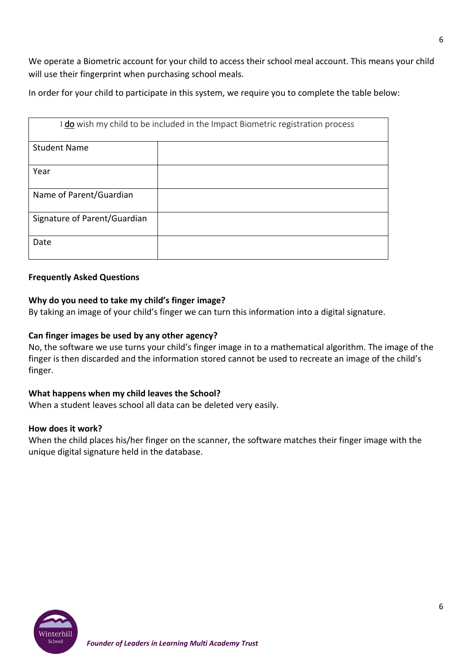We operate a Biometric account for your child to access their school meal account. This means your child will use their fingerprint when purchasing school meals.

In order for your child to participate in this system, we require you to complete the table below:

| do wish my child to be included in the Impact Biometric registration process |  |  |
|------------------------------------------------------------------------------|--|--|
| <b>Student Name</b>                                                          |  |  |
| Year                                                                         |  |  |
| Name of Parent/Guardian                                                      |  |  |
| Signature of Parent/Guardian                                                 |  |  |
| Date                                                                         |  |  |

#### **Frequently Asked Questions**

#### **Why do you need to take my child's finger image?**

By taking an image of your child's finger we can turn this information into a digital signature.

#### **Can finger images be used by any other agency?**

No, the software we use turns your child's finger image in to a mathematical algorithm. The image of the finger is then discarded and the information stored cannot be used to recreate an image of the child's finger.

#### **What happens when my child leaves the School?**

When a student leaves school all data can be deleted very easily.

#### **How does it work?**

When the child places his/her finger on the scanner, the software matches their finger image with the unique digital signature held in the database.

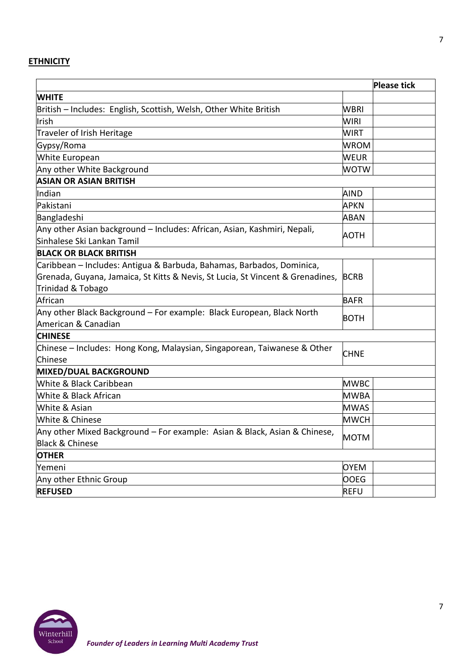# **ETHNICITY**

|                                                                                                        |             | <b>Please tick</b> |
|--------------------------------------------------------------------------------------------------------|-------------|--------------------|
| <b>WHITE</b>                                                                                           |             |                    |
| British - Includes: English, Scottish, Welsh, Other White British                                      | WBRI        |                    |
| Irish                                                                                                  | WIRI        |                    |
| Traveler of Irish Heritage                                                                             | <b>WIRT</b> |                    |
| Gypsy/Roma                                                                                             | <b>WROM</b> |                    |
| White European                                                                                         | <b>WEUR</b> |                    |
| Any other White Background                                                                             | <b>WOTW</b> |                    |
| <b>ASIAN OR ASIAN BRITISH</b>                                                                          |             |                    |
| Indian                                                                                                 | AIND        |                    |
| Pakistani                                                                                              | <b>APKN</b> |                    |
| Bangladeshi                                                                                            | <b>ABAN</b> |                    |
| Any other Asian background – Includes: African, Asian, Kashmiri, Nepali,<br>Sinhalese Ski Lankan Tamil | AOTH        |                    |
| <b>BLACK OR BLACK BRITISH</b>                                                                          |             |                    |
| Caribbean – Includes: Antigua & Barbuda, Bahamas, Barbados, Dominica,                                  |             |                    |
| Grenada, Guyana, Jamaica, St Kitts & Nevis, St Lucia, St Vincent & Grenadines,                         | <b>BCRB</b> |                    |
| Trinidad & Tobago                                                                                      |             |                    |
| African                                                                                                | <b>BAFR</b> |                    |
| Any other Black Background – For example: Black European, Black North                                  | <b>BOTH</b> |                    |
| American & Canadian                                                                                    |             |                    |
| <b>CHINESE</b>                                                                                         |             |                    |
| Chinese – Includes: Hong Kong, Malaysian, Singaporean, Taiwanese & Other                               | <b>CHNE</b> |                    |
| Chinese                                                                                                |             |                    |
| MIXED/DUAL BACKGROUND                                                                                  |             |                    |
| White & Black Caribbean                                                                                | <b>MWBC</b> |                    |
| White & Black African                                                                                  | <b>MWBA</b> |                    |
| White & Asian                                                                                          | <b>MWAS</b> |                    |
| White & Chinese                                                                                        | <b>MWCH</b> |                    |
| Any other Mixed Background - For example: Asian & Black, Asian & Chinese,                              | MOTM        |                    |
| Black & Chinese                                                                                        |             |                    |
| <b>OTHER</b>                                                                                           |             |                    |
| Yemeni                                                                                                 | <b>OYEM</b> |                    |
| Any other Ethnic Group                                                                                 | <b>OOEG</b> |                    |
| <b>REFUSED</b>                                                                                         | <b>REFU</b> |                    |



*Founder of Leaders in Learning Multi Academy Trust*